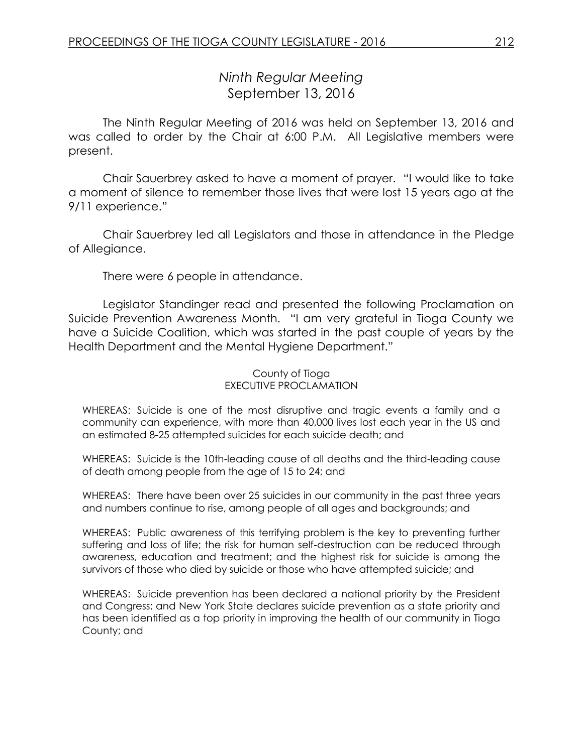# *Ninth Regular Meeting* September 13, 2016

The Ninth Regular Meeting of 2016 was held on September 13, 2016 and was called to order by the Chair at 6:00 P.M. All Legislative members were present.

Chair Sauerbrey asked to have a moment of prayer. "I would like to take a moment of silence to remember those lives that were lost 15 years ago at the 9/11 experience."

Chair Sauerbrey led all Legislators and those in attendance in the Pledge of Allegiance.

There were 6 people in attendance.

Legislator Standinger read and presented the following Proclamation on Suicide Prevention Awareness Month. "I am very grateful in Tioga County we have a Suicide Coalition, which was started in the past couple of years by the Health Department and the Mental Hygiene Department."

#### County of Tioga EXECUTIVE PROCLAMATION

WHEREAS: Suicide is one of the most disruptive and tragic events a family and a community can experience, with more than 40,000 lives lost each year in the US and an estimated 8-25 attempted suicides for each suicide death; and

WHEREAS: Suicide is the 10th-leading cause of all deaths and the third-leading cause of death among people from the age of 15 to 24; and

WHEREAS: There have been over 25 suicides in our community in the past three years and numbers continue to rise, among people of all ages and backgrounds; and

WHEREAS: Public awareness of this terrifying problem is the key to preventing further suffering and loss of life; the risk for human self-destruction can be reduced through awareness, education and treatment; and the highest risk for suicide is among the survivors of those who died by suicide or those who have attempted suicide; and

WHEREAS: Suicide prevention has been declared a national priority by the President and Congress; and New York State declares suicide prevention as a state priority and has been identified as a top priority in improving the health of our community in Tioga County; and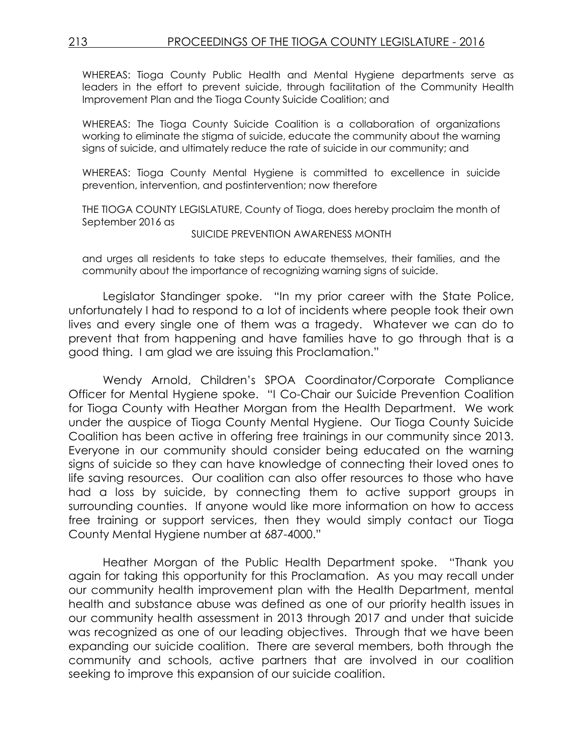WHEREAS: Tioga County Public Health and Mental Hygiene departments serve as leaders in the effort to prevent suicide, through facilitation of the Community Health Improvement Plan and the Tioga County Suicide Coalition; and

WHEREAS: The Tioga County Suicide Coalition is a collaboration of organizations working to eliminate the stigma of suicide, educate the community about the warning signs of suicide, and ultimately reduce the rate of suicide in our community; and

WHEREAS: Tioga County Mental Hygiene is committed to excellence in suicide prevention, intervention, and postintervention; now therefore

THE TIOGA COUNTY LEGISLATURE, County of Tioga, does hereby proclaim the month of September 2016 as

#### SUICIDE PREVENTION AWARENESS MONTH

and urges all residents to take steps to educate themselves, their families, and the community about the importance of recognizing warning signs of suicide.

Legislator Standinger spoke. "In my prior career with the State Police, unfortunately I had to respond to a lot of incidents where people took their own lives and every single one of them was a tragedy. Whatever we can do to prevent that from happening and have families have to go through that is a good thing. I am glad we are issuing this Proclamation."

Wendy Arnold, Children's SPOA Coordinator/Corporate Compliance Officer for Mental Hygiene spoke. "I Co-Chair our Suicide Prevention Coalition for Tioga County with Heather Morgan from the Health Department. We work under the auspice of Tioga County Mental Hygiene. Our Tioga County Suicide Coalition has been active in offering free trainings in our community since 2013. Everyone in our community should consider being educated on the warning signs of suicide so they can have knowledge of connecting their loved ones to life saving resources. Our coalition can also offer resources to those who have had a loss by suicide, by connecting them to active support groups in surrounding counties. If anyone would like more information on how to access free training or support services, then they would simply contact our Tioga County Mental Hygiene number at 687-4000."

Heather Morgan of the Public Health Department spoke. "Thank you again for taking this opportunity for this Proclamation. As you may recall under our community health improvement plan with the Health Department, mental health and substance abuse was defined as one of our priority health issues in our community health assessment in 2013 through 2017 and under that suicide was recognized as one of our leading objectives. Through that we have been expanding our suicide coalition. There are several members, both through the community and schools, active partners that are involved in our coalition seeking to improve this expansion of our suicide coalition.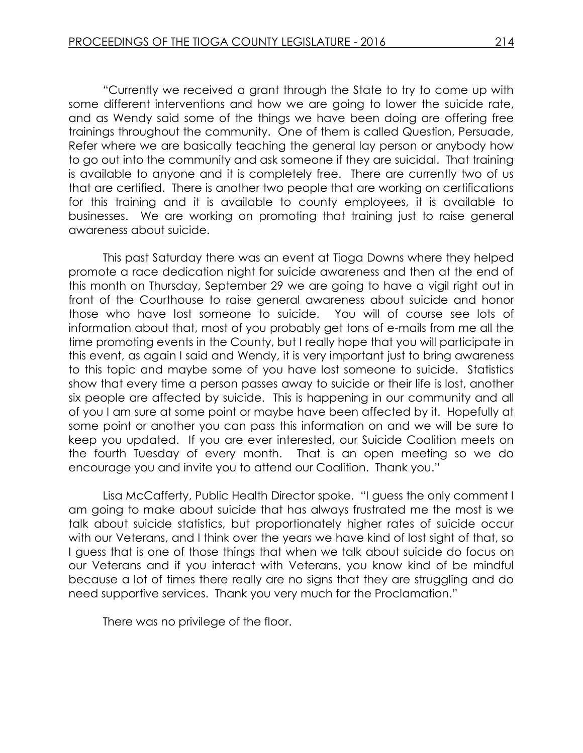"Currently we received a grant through the State to try to come up with some different interventions and how we are going to lower the suicide rate, and as Wendy said some of the things we have been doing are offering free trainings throughout the community. One of them is called Question, Persuade, Refer where we are basically teaching the general lay person or anybody how to go out into the community and ask someone if they are suicidal. That training is available to anyone and it is completely free. There are currently two of us that are certified. There is another two people that are working on certifications for this training and it is available to county employees, it is available to businesses. We are working on promoting that training just to raise general awareness about suicide.

This past Saturday there was an event at Tioga Downs where they helped promote a race dedication night for suicide awareness and then at the end of this month on Thursday, September 29 we are going to have a vigil right out in front of the Courthouse to raise general awareness about suicide and honor those who have lost someone to suicide. You will of course see lots of information about that, most of you probably get tons of e-mails from me all the time promoting events in the County, but I really hope that you will participate in this event, as again I said and Wendy, it is very important just to bring awareness to this topic and maybe some of you have lost someone to suicide. Statistics show that every time a person passes away to suicide or their life is lost, another six people are affected by suicide. This is happening in our community and all of you I am sure at some point or maybe have been affected by it. Hopefully at some point or another you can pass this information on and we will be sure to keep you updated. If you are ever interested, our Suicide Coalition meets on the fourth Tuesday of every month. That is an open meeting so we do encourage you and invite you to attend our Coalition. Thank you."

Lisa McCafferty, Public Health Director spoke. "I guess the only comment I am going to make about suicide that has always frustrated me the most is we talk about suicide statistics, but proportionately higher rates of suicide occur with our Veterans, and I think over the years we have kind of lost sight of that, so I guess that is one of those things that when we talk about suicide do focus on our Veterans and if you interact with Veterans, you know kind of be mindful because a lot of times there really are no signs that they are struggling and do need supportive services. Thank you very much for the Proclamation."

There was no privilege of the floor.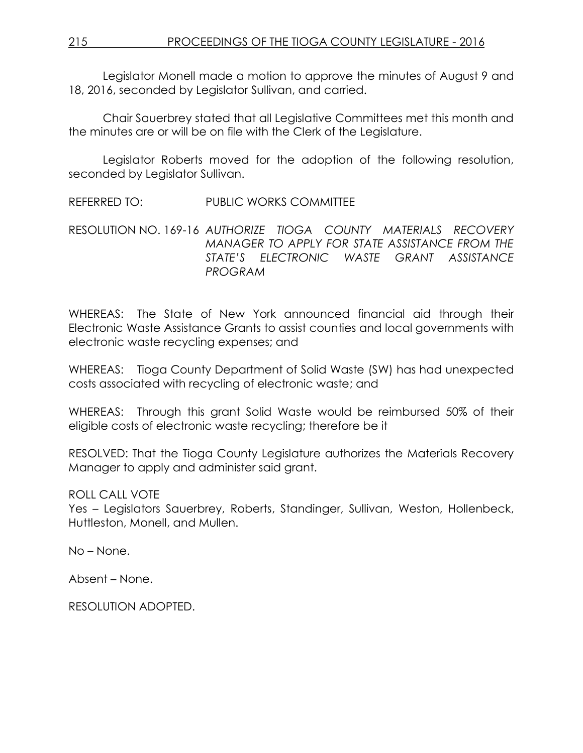Legislator Monell made a motion to approve the minutes of August 9 and 18, 2016, seconded by Legislator Sullivan, and carried.

Chair Sauerbrey stated that all Legislative Committees met this month and the minutes are or will be on file with the Clerk of the Legislature.

Legislator Roberts moved for the adoption of the following resolution, seconded by Legislator Sullivan.

REFERRED TO: PUBLIC WORKS COMMITTEE

RESOLUTION NO. 169-16 *AUTHORIZE TIOGA COUNTY MATERIALS RECOVERY MANAGER TO APPLY FOR STATE ASSISTANCE FROM THE STATE'S ELECTRONIC WASTE GRANT ASSISTANCE PROGRAM*

WHEREAS: The State of New York announced financial aid through their Electronic Waste Assistance Grants to assist counties and local governments with electronic waste recycling expenses; and

WHEREAS: Tioga County Department of Solid Waste (SW) has had unexpected costs associated with recycling of electronic waste; and

WHEREAS: Through this grant Solid Waste would be reimbursed 50% of their eligible costs of electronic waste recycling; therefore be it

RESOLVED: That the Tioga County Legislature authorizes the Materials Recovery Manager to apply and administer said grant.

ROLL CALL VOTE

Yes – Legislators Sauerbrey, Roberts, Standinger, Sullivan, Weston, Hollenbeck, Huttleston, Monell, and Mullen.

No – None.

Absent – None.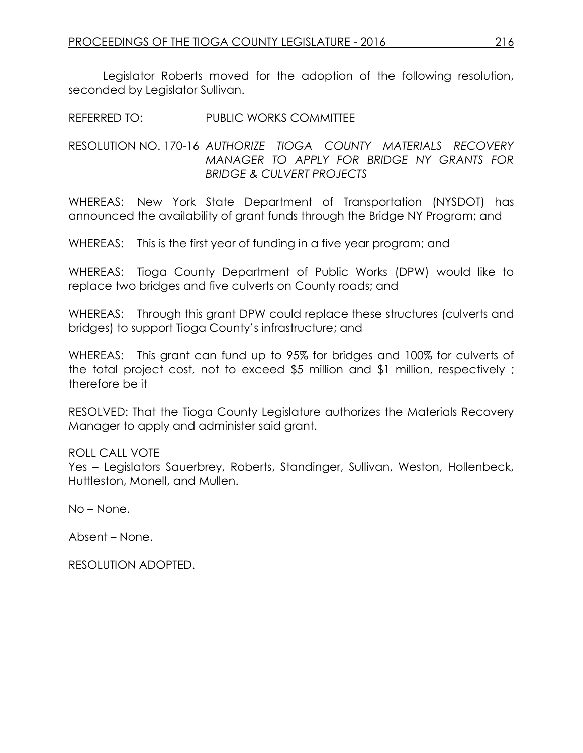Legislator Roberts moved for the adoption of the following resolution, seconded by Legislator Sullivan.

REFERRED TO: PUBLIC WORKS COMMITTEE

RESOLUTION NO. 170-16 *AUTHORIZE TIOGA COUNTY MATERIALS RECOVERY MANAGER TO APPLY FOR BRIDGE NY GRANTS FOR BRIDGE & CULVERT PROJECTS*

WHEREAS: New York State Department of Transportation (NYSDOT) has announced the availability of grant funds through the Bridge NY Program; and

WHEREAS: This is the first year of funding in a five year program; and

WHEREAS: Tioga County Department of Public Works (DPW) would like to replace two bridges and five culverts on County roads; and

WHEREAS: Through this grant DPW could replace these structures (culverts and bridges) to support Tioga County's infrastructure; and

WHEREAS: This grant can fund up to 95% for bridges and 100% for culverts of the total project cost, not to exceed \$5 million and \$1 million, respectively ; therefore be it

RESOLVED: That the Tioga County Legislature authorizes the Materials Recovery Manager to apply and administer said grant.

# ROLL CALL VOTE

Yes – Legislators Sauerbrey, Roberts, Standinger, Sullivan, Weston, Hollenbeck, Huttleston, Monell, and Mullen.

No – None.

Absent – None.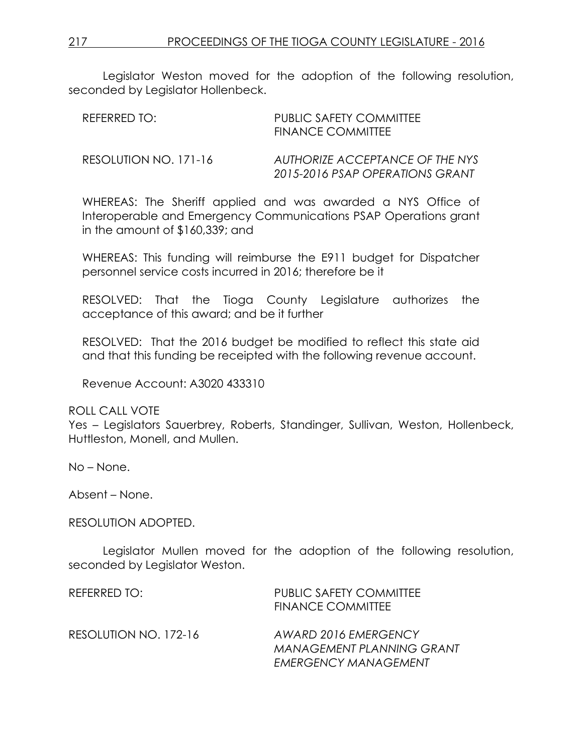Legislator Weston moved for the adoption of the following resolution, seconded by Legislator Hollenbeck.

| REFERRED TO:          | PUBLIC SAFETY COMMITTEE<br><b>FINANCE COMMITTEE</b>                |
|-----------------------|--------------------------------------------------------------------|
| RESOLUTION NO. 171-16 | AUTHORIZE ACCEPTANCE OF THE NYS<br>2015-2016 PSAP OPERATIONS GRANT |

WHEREAS: The Sheriff applied and was awarded a NYS Office of Interoperable and Emergency Communications PSAP Operations grant in the amount of \$160,339; and

WHEREAS: This funding will reimburse the E911 budget for Dispatcher personnel service costs incurred in 2016; therefore be it

RESOLVED: That the Tioga County Legislature authorizes the acceptance of this award; and be it further

RESOLVED: That the 2016 budget be modified to reflect this state aid and that this funding be receipted with the following revenue account.

Revenue Account: A3020 433310

ROLL CALL VOTE

Yes – Legislators Sauerbrey, Roberts, Standinger, Sullivan, Weston, Hollenbeck, Huttleston, Monell, and Mullen.

No – None.

Absent – None.

#### RESOLUTION ADOPTED.

Legislator Mullen moved for the adoption of the following resolution, seconded by Legislator Weston.

| REFERRED TO:          | <b>PUBLIC SAFETY COMMITTEE</b><br><b>FINANCE COMMITTEE</b>                              |
|-----------------------|-----------------------------------------------------------------------------------------|
| RESOLUTION NO. 172-16 | AWARD 2016 EMERGENCY<br><b>MANAGEMENT PLANNING GRANT</b><br><b>EMERGENCY MANAGEMENT</b> |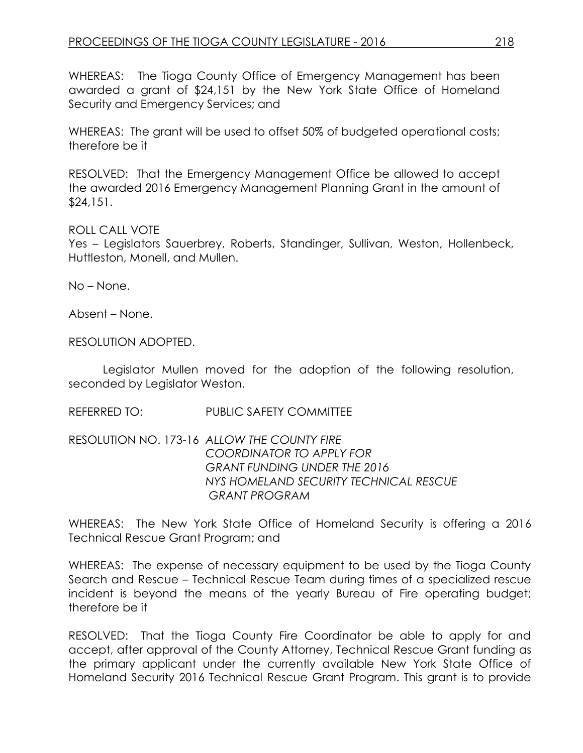WHEREAS: The Tioga County Office of Emergency Management has been awarded a grant of \$24,151 by the New York State Office of Homeland Security and Emergency Services; and

WHEREAS: The grant will be used to offset 50% of budgeted operational costs; therefore be it

RESOLVED: That the Emergency Management Office be allowed to accept the awarded 2016 Emergency Management Planning Grant in the amount of \$24,151.

### ROLL CALL VOTE

Yes – Legislators Sauerbrey, Roberts, Standinger, Sullivan, Weston, Hollenbeck, Huttleston, Monell, and Mullen.

No – None.

Absent – None.

RESOLUTION ADOPTED.

Legislator Mullen moved for the adoption of the following resolution, seconded by Legislator Weston.

REFERRED TO: PUBLIC SAFETY COMMITTEE

RESOLUTION NO. 173-16 *ALLOW THE COUNTY FIRE COORDINATOR TO APPLY FOR GRANT FUNDING UNDER THE 2016 NYS HOMELAND SECURITY TECHNICAL RESCUE GRANT PROGRAM* 

WHEREAS: The New York State Office of Homeland Security is offering a 2016 Technical Rescue Grant Program; and

WHEREAS: The expense of necessary equipment to be used by the Tioga County Search and Rescue – Technical Rescue Team during times of a specialized rescue incident is beyond the means of the yearly Bureau of Fire operating budget; therefore be it

RESOLVED: That the Tioga County Fire Coordinator be able to apply for and accept, after approval of the County Attorney, Technical Rescue Grant funding as the primary applicant under the currently available New York State Office of Homeland Security 2016 Technical Rescue Grant Program. This grant is to provide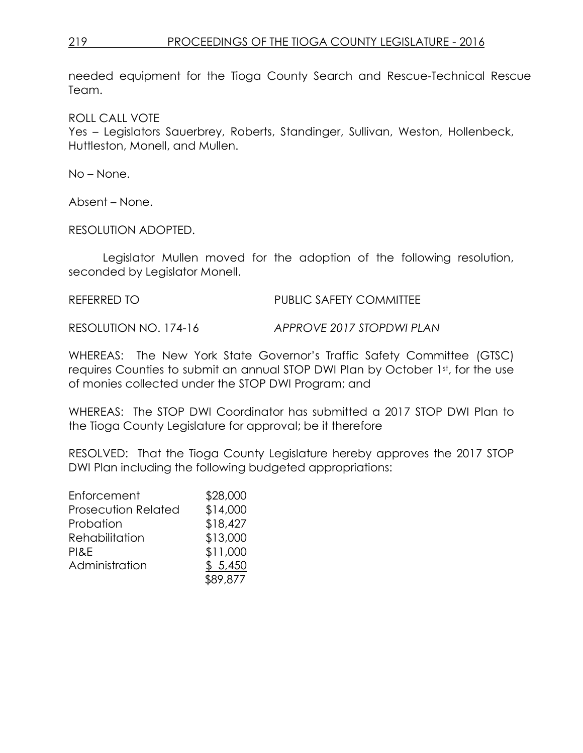needed equipment for the Tioga County Search and Rescue-Technical Rescue Team.

ROLL CALL VOTE

Yes – Legislators Sauerbrey, Roberts, Standinger, Sullivan, Weston, Hollenbeck, Huttleston, Monell, and Mullen.

No – None.

Absent – None.

RESOLUTION ADOPTED.

Legislator Mullen moved for the adoption of the following resolution, seconded by Legislator Monell.

REFERRED TO **PUBLIC SAFETY COMMITTEE** 

RESOLUTION NO. 174-16 *APPROVE 2017 STOPDWI PLAN*

WHEREAS: The New York State Governor's Traffic Safety Committee (GTSC) requires Counties to submit an annual STOP DWI Plan by October 1st, for the use of monies collected under the STOP DWI Program; and

WHEREAS: The STOP DWI Coordinator has submitted a 2017 STOP DWI Plan to the Tioga County Legislature for approval; be it therefore

RESOLVED: That the Tioga County Legislature hereby approves the 2017 STOP DWI Plan including the following budgeted appropriations:

| Enforcement                | \$28,000 |
|----------------------------|----------|
| <b>Prosecution Related</b> | \$14,000 |
| Probation                  | \$18,427 |
| Rehabilitation             | \$13,000 |
| PI&E                       | \$11,000 |
| Administration             | \$5,450  |
|                            | \$89,877 |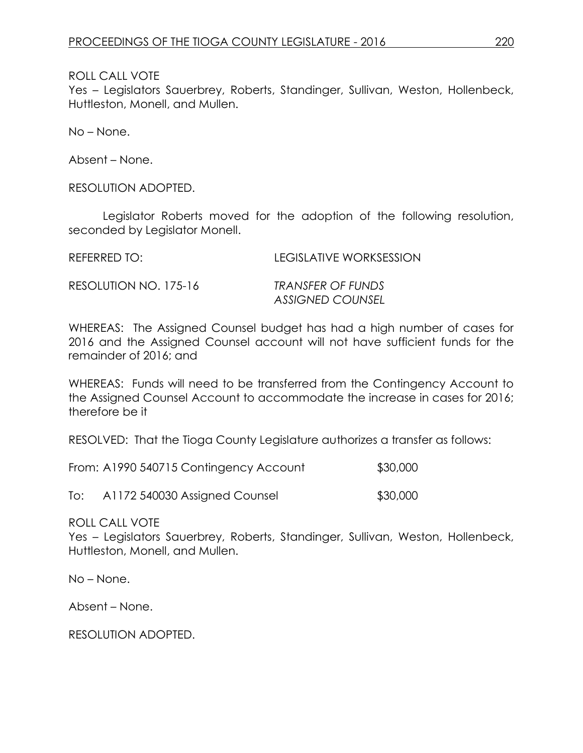ROLL CALL VOTE

Yes – Legislators Sauerbrey, Roberts, Standinger, Sullivan, Weston, Hollenbeck, Huttleston, Monell, and Mullen.

No – None.

Absent – None.

RESOLUTION ADOPTED.

Legislator Roberts moved for the adoption of the following resolution, seconded by Legislator Monell.

REFERRED TO: LEGISLATIVE WORKSESSION

RESOLUTION NO. 175-16 *TRANSFER OF FUNDS*

*ASSIGNED COUNSEL*

WHEREAS: The Assigned Counsel budget has had a high number of cases for 2016 and the Assigned Counsel account will not have sufficient funds for the remainder of 2016; and

WHEREAS: Funds will need to be transferred from the Contingency Account to the Assigned Counsel Account to accommodate the increase in cases for 2016; therefore be it

RESOLVED: That the Tioga County Legislature authorizes a transfer as follows:

From: A1990 540715 Contingency Account \$30,000

To: A1172 540030 Assigned Counsel \$30,000

ROLL CALL VOTE

Yes – Legislators Sauerbrey, Roberts, Standinger, Sullivan, Weston, Hollenbeck, Huttleston, Monell, and Mullen.

No – None.

Absent – None.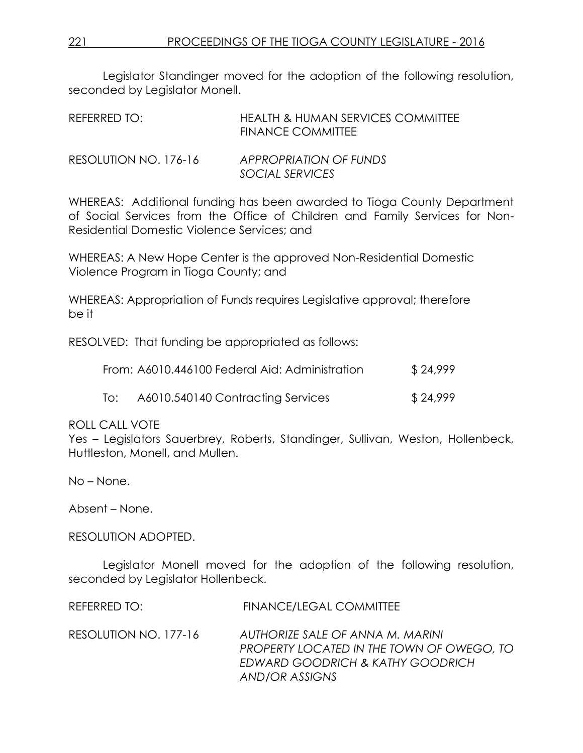Legislator Standinger moved for the adoption of the following resolution, seconded by Legislator Monell.

| REFERRED TO:          | HEALTH & HUMAN SERVICES COMMITTEE<br><b>FINANCE COMMITTEE</b> |
|-----------------------|---------------------------------------------------------------|
| RESOLUTION NO. 176-16 | APPROPRIATION OF FUNDS<br>SOCIAL SERVICES                     |

WHEREAS: Additional funding has been awarded to Tioga County Department of Social Services from the Office of Children and Family Services for Non-Residential Domestic Violence Services; and

WHEREAS: A New Hope Center is the approved Non-Residential Domestic Violence Program in Tioga County; and

WHEREAS: Appropriation of Funds requires Legislative approval; therefore be it

RESOLVED: That funding be appropriated as follows:

|     | From: A6010.446100 Federal Aid: Administration | \$24,999 |
|-----|------------------------------------------------|----------|
| To: | A6010.540140 Contracting Services              | \$24,999 |

#### ROLL CALL VOTE

Yes – Legislators Sauerbrey, Roberts, Standinger, Sullivan, Weston, Hollenbeck, Huttleston, Monell, and Mullen.

No – None.

Absent – None.

RESOLUTION ADOPTED.

Legislator Monell moved for the adoption of the following resolution, seconded by Legislator Hollenbeck.

| REFERRED TO:          | <b>FINANCE/LEGAL COMMITTEE</b>                                                                                                      |
|-----------------------|-------------------------------------------------------------------------------------------------------------------------------------|
| RESOLUTION NO. 177-16 | AUTHORIZE SALE OF ANNA M. MARINI<br>PROPERTY LOCATED IN THE TOWN OF OWEGO, TO<br>EDWARD GOODRICH & KATHY GOODRICH<br>AND/OR ASSIGNS |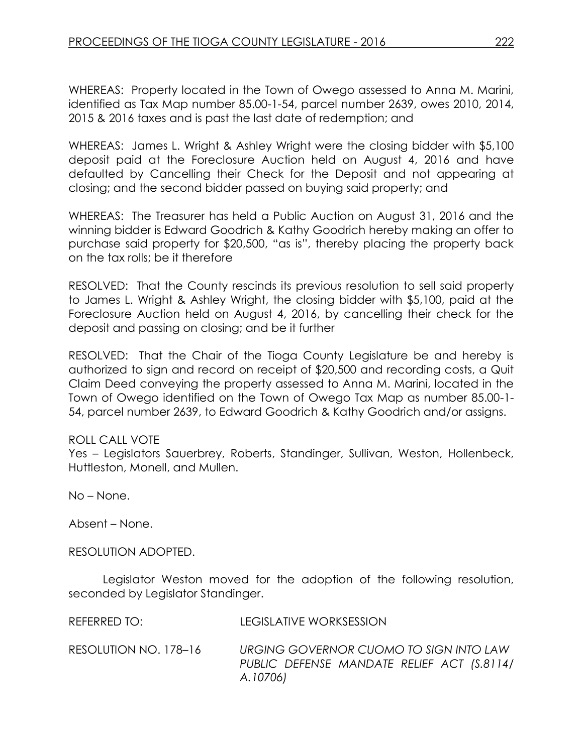WHEREAS: Property located in the Town of Owego assessed to Anna M. Marini, identified as Tax Map number 85.00-1-54, parcel number 2639, owes 2010, 2014, 2015 & 2016 taxes and is past the last date of redemption; and

WHEREAS: James L. Wright & Ashley Wright were the closing bidder with \$5,100 deposit paid at the Foreclosure Auction held on August 4, 2016 and have defaulted by Cancelling their Check for the Deposit and not appearing at closing; and the second bidder passed on buying said property; and

WHEREAS: The Treasurer has held a Public Auction on August 31, 2016 and the winning bidder is Edward Goodrich & Kathy Goodrich hereby making an offer to purchase said property for \$20,500, "as is", thereby placing the property back on the tax rolls; be it therefore

RESOLVED: That the County rescinds its previous resolution to sell said property to James L. Wright & Ashley Wright, the closing bidder with \$5,100, paid at the Foreclosure Auction held on August 4, 2016, by cancelling their check for the deposit and passing on closing; and be it further

RESOLVED: That the Chair of the Tioga County Legislature be and hereby is authorized to sign and record on receipt of \$20,500 and recording costs, a Quit Claim Deed conveying the property assessed to Anna M. Marini, located in the Town of Owego identified on the Town of Owego Tax Map as number 85.00-1- 54, parcel number 2639, to Edward Goodrich & Kathy Goodrich and/or assigns.

# ROLL CALL VOTE

Yes – Legislators Sauerbrey, Roberts, Standinger, Sullivan, Weston, Hollenbeck, Huttleston, Monell, and Mullen.

No – None.

Absent – None.

RESOLUTION ADOPTED.

Legislator Weston moved for the adoption of the following resolution, seconded by Legislator Standinger.

| REFERRED TO:          | LEGISLATIVE WORKSESSION                                                                          |
|-----------------------|--------------------------------------------------------------------------------------------------|
| RESOLUTION NO. 178–16 | URGING GOVERNOR CUOMO TO SIGN INTO LAW<br>PUBLIC DEFENSE MANDATE RELIEF ACT (S.8114)<br>A.10706) |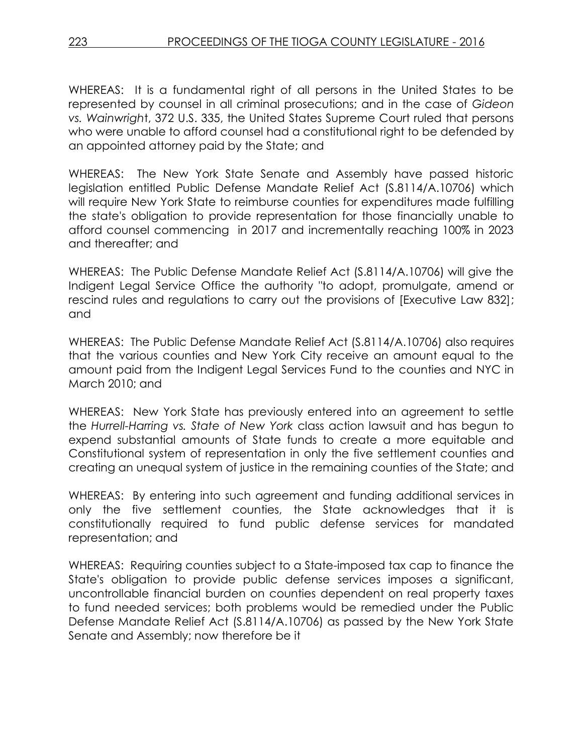WHEREAS: It is a fundamental right of all persons in the United States to be represented by counsel in all criminal prosecutions; and in the case of *Gideon vs. Wainwrigh*t, 372 U.S. 335, the United States Supreme Court ruled that persons who were unable to afford counsel had a constitutional right to be defended by an appointed attorney paid by the State; and

WHEREAS: The New York State Senate and Assembly have passed historic legislation entitled Public Defense Mandate Relief Act (S.8114/A.10706) which will require New York State to reimburse counties for expenditures made fulfilling the state's obligation to provide representation for those financially unable to afford counsel commencing in 2017 and incrementally reaching 100% in 2023 and thereafter; and

WHEREAS: The Public Defense Mandate Relief Act (S.8114/A.10706) will give the Indigent Legal Service Office the authority "to adopt, promulgate, amend or rescind rules and regulations to carry out the provisions of [Executive Law 832]; and

WHEREAS: The Public Defense Mandate Relief Act (S.8114/A.10706) also requires that the various counties and New York City receive an amount equal to the amount paid from the Indigent Legal Services Fund to the counties and NYC in March 2010; and

WHEREAS: New York State has previously entered into an agreement to settle the *Hurrell-Harring vs. State of New York* class action lawsuit and has begun to expend substantial amounts of State funds to create a more equitable and Constitutional system of representation in only the five settlement counties and creating an unequal system of justice in the remaining counties of the State; and

WHEREAS: By entering into such agreement and funding additional services in only the five settlement counties, the State acknowledges that it is constitutionally required to fund public defense services for mandated representation; and

WHEREAS: Requiring counties subject to a State-imposed tax cap to finance the State's obligation to provide public defense services imposes a significant, uncontrollable financial burden on counties dependent on real property taxes to fund needed services; both problems would be remedied under the Public Defense Mandate Relief Act (S.8114/A.10706) as passed by the New York State Senate and Assembly; now therefore be it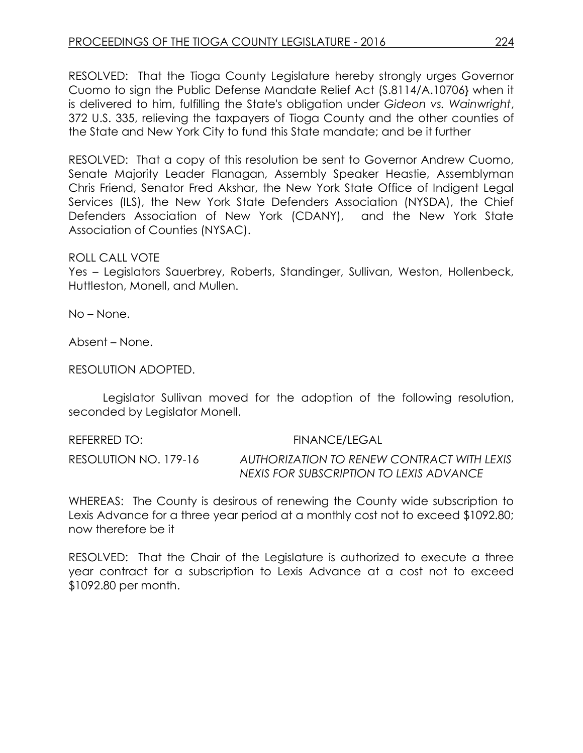RESOLVED: That the Tioga County Legislature hereby strongly urges Governor Cuomo to sign the Public Defense Mandate Relief Act (S.8114/A.10706} when it is delivered to him, fulfilling the State's obligation under *Gideon vs. Wainwright*, 372 U.S. 335, relieving the taxpayers of Tioga County and the other counties of the State and New York City to fund this State mandate; and be it further

RESOLVED: That a copy of this resolution be sent to Governor Andrew Cuomo, Senate Majority Leader Flanagan, Assembly Speaker Heastie, Assemblyman Chris Friend, Senator Fred Akshar, the New York State Office of Indigent Legal Services (ILS), the New York State Defenders Association (NYSDA), the Chief Defenders Association of New York (CDANY), and the New York State Association of Counties (NYSAC).

### ROLL CALL VOTE

Yes – Legislators Sauerbrey, Roberts, Standinger, Sullivan, Weston, Hollenbeck, Huttleston, Monell, and Mullen.

No – None.

Absent – None.

RESOLUTION ADOPTED.

Legislator Sullivan moved for the adoption of the following resolution, seconded by Legislator Monell.

REFERRED TO: FINANCE/LEGAL RESOLUTION NO. 179-16 *AUTHORIZATION TO RENEW CONTRACT WITH LEXIS NEXIS FOR SUBSCRIPTION TO LEXIS ADVANCE*

WHEREAS: The County is desirous of renewing the County wide subscription to Lexis Advance for a three year period at a monthly cost not to exceed \$1092.80; now therefore be it

RESOLVED: That the Chair of the Legislature is authorized to execute a three year contract for a subscription to Lexis Advance at a cost not to exceed \$1092.80 per month.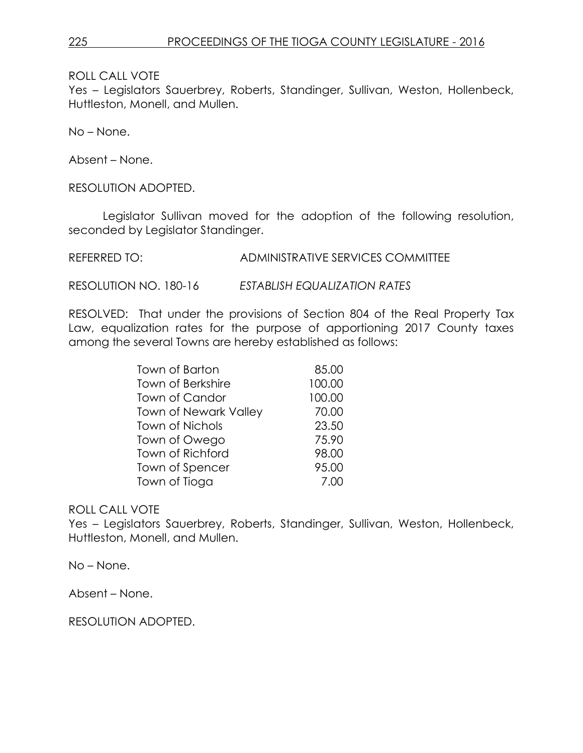ROLL CALL VOTE

Yes – Legislators Sauerbrey, Roberts, Standinger, Sullivan, Weston, Hollenbeck, Huttleston, Monell, and Mullen.

No – None.

Absent – None.

RESOLUTION ADOPTED.

Legislator Sullivan moved for the adoption of the following resolution, seconded by Legislator Standinger.

REFERRED TO: ADMINISTRATIVE SERVICES COMMITTEE

RESOLUTION NO. 180-16 *ESTABLISH EQUALIZATION RATES*

RESOLVED: That under the provisions of Section 804 of the Real Property Tax Law, equalization rates for the purpose of apportioning 2017 County taxes among the several Towns are hereby established as follows:

| Town of Barton               | 85.00  |
|------------------------------|--------|
| <b>Town of Berkshire</b>     | 100.00 |
| Town of Candor               | 100.00 |
| <b>Town of Newark Valley</b> | 70.00  |
| <b>Town of Nichols</b>       | 23.50  |
| Town of Owego                | 75.90  |
| Town of Richford             | 98.00  |
| Town of Spencer              | 95.00  |
| Town of Tioga                | 7.00   |

# ROLL CALL VOTE

Yes – Legislators Sauerbrey, Roberts, Standinger, Sullivan, Weston, Hollenbeck, Huttleston, Monell, and Mullen.

No – None.

Absent – None.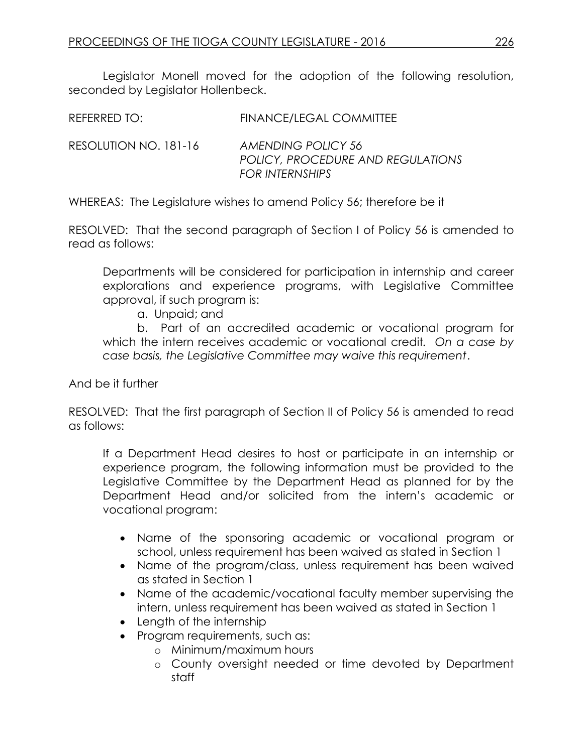Legislator Monell moved for the adoption of the following resolution, seconded by Legislator Hollenbeck.

| REFERRED TO:          | FINANCE/LEGAL COMMITTEE                                 |
|-----------------------|---------------------------------------------------------|
| RESOLUTION NO. 181-16 | AMENDING POLICY 56<br>POLICY, PROCEDURE AND REGULATIONS |

WHEREAS: The Legislature wishes to amend Policy 56; therefore be it

RESOLVED: That the second paragraph of Section I of Policy 56 is amended to read as follows:

*FOR INTERNSHIPS* 

Departments will be considered for participation in internship and career explorations and experience programs, with Legislative Committee approval, if such program is:

a. Unpaid; and

b. Part of an accredited academic or vocational program for which the intern receives academic or vocational credit*. On a case by case basis, the Legislative Committee may waive this requirement*.

And be it further

RESOLVED: That the first paragraph of Section II of Policy 56 is amended to read as follows:

If a Department Head desires to host or participate in an internship or experience program, the following information must be provided to the Legislative Committee by the Department Head as planned for by the Department Head and/or solicited from the intern's academic or vocational program:

- Name of the sponsoring academic or vocational program or school, unless requirement has been waived as stated in Section 1
- Name of the program/class, unless requirement has been waived as stated in Section 1
- Name of the academic/vocational faculty member supervising the intern, unless requirement has been waived as stated in Section 1
- Length of the internship
- Program requirements, such as:
	- o Minimum/maximum hours
	- o County oversight needed or time devoted by Department staff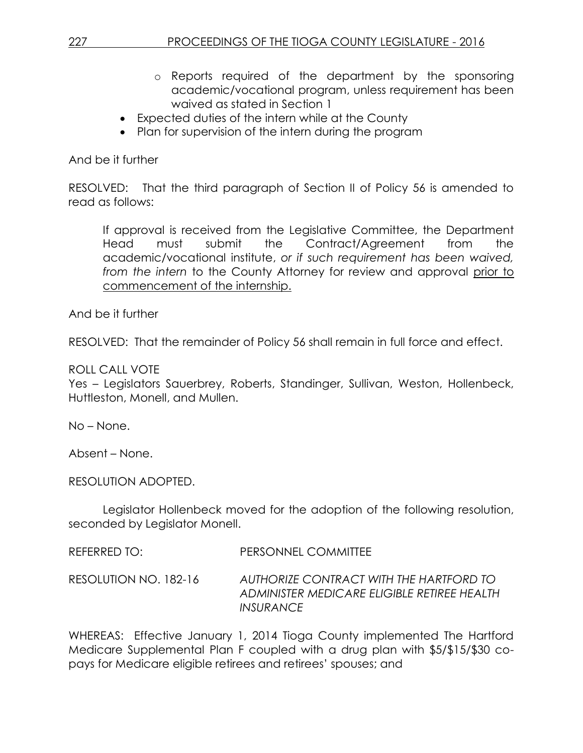- o Reports required of the department by the sponsoring academic/vocational program, unless requirement has been waived as stated in Section 1
- Expected duties of the intern while at the County
- Plan for supervision of the intern during the program

# And be it further

RESOLVED: That the third paragraph of Section II of Policy 56 is amended to read as follows:

If approval is received from the Legislative Committee, the Department Head must submit the Contract/Agreement from the academic/vocational institute, *or if such requirement has been waived, from the intern* to the County Attorney for review and approval prior to commencement of the internship.

And be it further

RESOLVED: That the remainder of Policy 56 shall remain in full force and effect.

# ROLL CALL VOTE

Yes – Legislators Sauerbrey, Roberts, Standinger, Sullivan, Weston, Hollenbeck, Huttleston, Monell, and Mullen.

No – None.

Absent – None.

RESOLUTION ADOPTED.

Legislator Hollenbeck moved for the adoption of the following resolution, seconded by Legislator Monell.

REFERRED TO: PERSONNEL COMMITTEE

RESOLUTION NO. 182-16 *AUTHORIZE CONTRACT WITH THE HARTFORD TO ADMINISTER MEDICARE ELIGIBLE RETIREE HEALTH INSURANCE*

WHEREAS: Effective January 1, 2014 Tioga County implemented The Hartford Medicare Supplemental Plan F coupled with a drug plan with \$5/\$15/\$30 copays for Medicare eligible retirees and retirees' spouses; and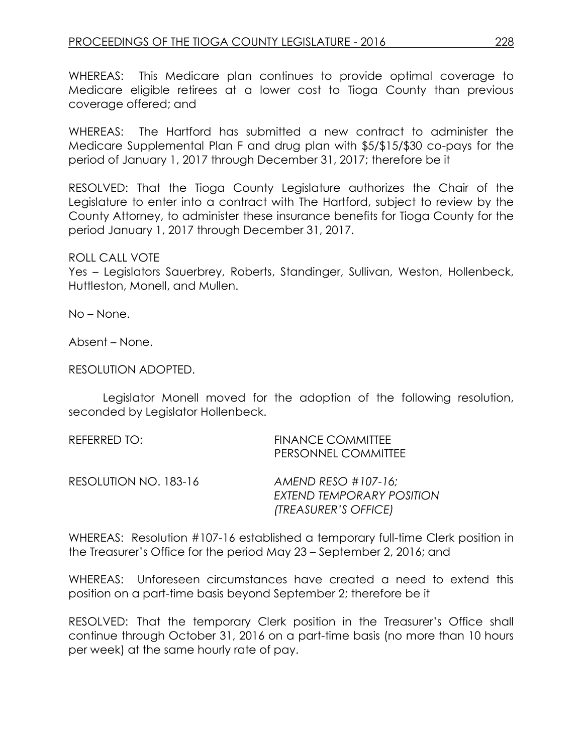WHEREAS: This Medicare plan continues to provide optimal coverage to Medicare eligible retirees at a lower cost to Tioga County than previous coverage offered; and

WHEREAS: The Hartford has submitted a new contract to administer the Medicare Supplemental Plan F and drug plan with \$5/\$15/\$30 co-pays for the period of January 1, 2017 through December 31, 2017; therefore be it

RESOLVED: That the Tioga County Legislature authorizes the Chair of the Legislature to enter into a contract with The Hartford, subject to review by the County Attorney, to administer these insurance benefits for Tioga County for the period January 1, 2017 through December 31, 2017.

### ROLL CALL VOTE

Yes – Legislators Sauerbrey, Roberts, Standinger, Sullivan, Weston, Hollenbeck, Huttleston, Monell, and Mullen.

No – None.

Absent – None.

RESOLUTION ADOPTED.

Legislator Monell moved for the adoption of the following resolution, seconded by Legislator Hollenbeck.

| REFERRED TO:          | <b>FINANCE COMMITTEE</b><br>PERSONNEL COMMITTEE                              |
|-----------------------|------------------------------------------------------------------------------|
| RESOLUTION NO. 183-16 | AMEND RESO $\#107-16$ ;<br>EXTEND TEMPORARY POSITION<br>(TREASURER'S OFFICE) |

WHEREAS: Resolution #107-16 established a temporary full-time Clerk position in the Treasurer's Office for the period May 23 – September 2, 2016; and

WHEREAS: Unforeseen circumstances have created a need to extend this position on a part-time basis beyond September 2; therefore be it

RESOLVED: That the temporary Clerk position in the Treasurer's Office shall continue through October 31, 2016 on a part-time basis (no more than 10 hours per week) at the same hourly rate of pay.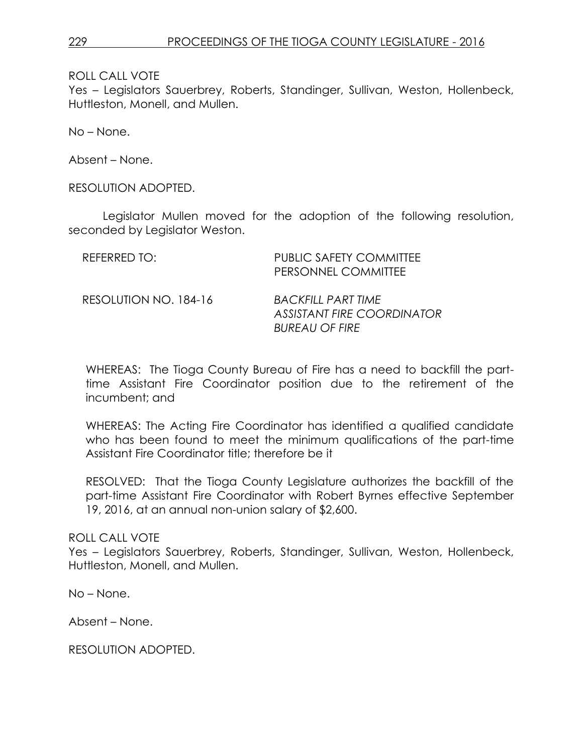ROLL CALL VOTE

Yes – Legislators Sauerbrey, Roberts, Standinger, Sullivan, Weston, Hollenbeck, Huttleston, Monell, and Mullen.

No – None.

Absent – None.

RESOLUTION ADOPTED.

Legislator Mullen moved for the adoption of the following resolution, seconded by Legislator Weston.

| REFERRED TO:          | PUBLIC SAFETY COMMITTEE<br>PERSONNEL COMMITTEE                            |
|-----------------------|---------------------------------------------------------------------------|
| RESOLUTION NO. 184-16 | BACKFILL PART TIME<br>ASSISTANT FIRE COORDINATOR<br><b>BUREAU OF FIRE</b> |

WHEREAS: The Tioga County Bureau of Fire has a need to backfill the parttime Assistant Fire Coordinator position due to the retirement of the incumbent; and

WHEREAS: The Acting Fire Coordinator has identified a qualified candidate who has been found to meet the minimum qualifications of the part-time Assistant Fire Coordinator title; therefore be it

RESOLVED: That the Tioga County Legislature authorizes the backfill of the part-time Assistant Fire Coordinator with Robert Byrnes effective September 19, 2016, at an annual non-union salary of \$2,600.

# ROLL CALL VOTE

Yes – Legislators Sauerbrey, Roberts, Standinger, Sullivan, Weston, Hollenbeck, Huttleston, Monell, and Mullen.

No – None.

Absent – None.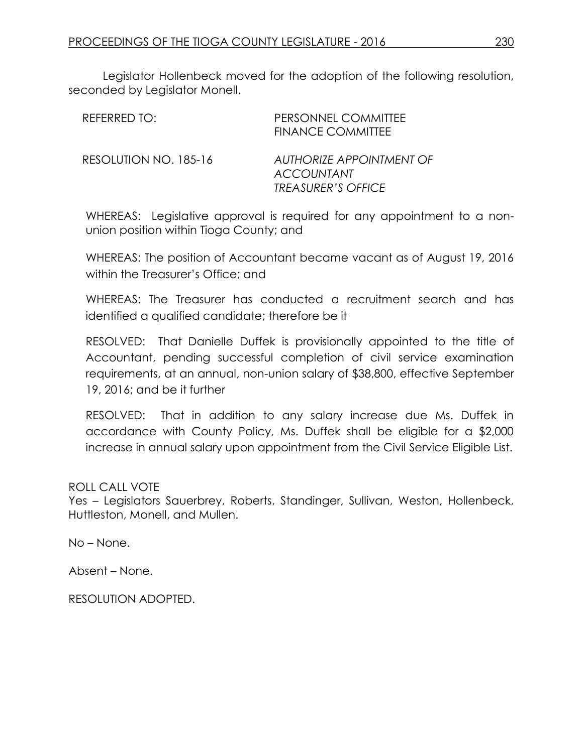Legislator Hollenbeck moved for the adoption of the following resolution, seconded by Legislator Monell.

| REFERRED TO:          | PERSONNEL COMMITTEE<br><b>FINANCE COMMITTEE</b>                            |
|-----------------------|----------------------------------------------------------------------------|
| RESOLUTION NO. 185-16 | AUTHORIZE APPOINTMENT OF<br><b>ACCOUNTANT</b><br><b>TREASURER'S OFFICE</b> |

WHEREAS: Legislative approval is required for any appointment to a nonunion position within Tioga County; and

WHEREAS: The position of Accountant became vacant as of August 19, 2016 within the Treasurer's Office; and

WHEREAS: The Treasurer has conducted a recruitment search and has identified a qualified candidate; therefore be it

RESOLVED: That Danielle Duffek is provisionally appointed to the title of Accountant, pending successful completion of civil service examination requirements, at an annual, non-union salary of \$38,800, effective September 19, 2016; and be it further

RESOLVED: That in addition to any salary increase due Ms. Duffek in accordance with County Policy, Ms. Duffek shall be eligible for a \$2,000 increase in annual salary upon appointment from the Civil Service Eligible List.

# ROLL CALL VOTE

Yes – Legislators Sauerbrey, Roberts, Standinger, Sullivan, Weston, Hollenbeck, Huttleston, Monell, and Mullen.

No – None.

Absent – None.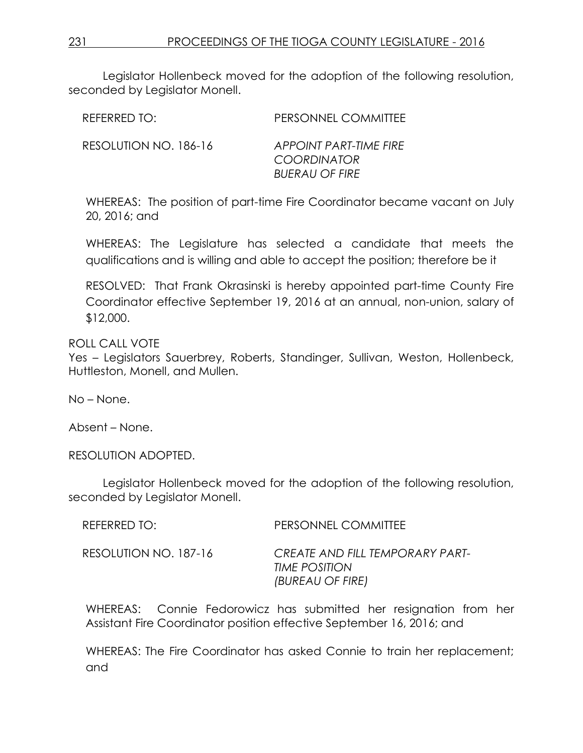Legislator Hollenbeck moved for the adoption of the following resolution, seconded by Legislator Monell.

| REFERRED TO:          | PERSONNEL COMMITTEE                                                   |
|-----------------------|-----------------------------------------------------------------------|
| RESOLUTION NO. 186-16 | APPOINT PART-TIME FIRE<br><b>COORDINATOR</b><br><b>BUERAU OF FIRE</b> |

WHEREAS: The position of part-time Fire Coordinator became vacant on July 20, 2016; and

WHEREAS: The Legislature has selected a candidate that meets the qualifications and is willing and able to accept the position; therefore be it

RESOLVED: That Frank Okrasinski is hereby appointed part-time County Fire Coordinator effective September 19, 2016 at an annual, non-union, salary of \$12,000.

ROLL CALL VOTE

Yes – Legislators Sauerbrey, Roberts, Standinger, Sullivan, Weston, Hollenbeck, Huttleston, Monell, and Mullen.

No – None.

Absent – None.

RESOLUTION ADOPTED.

Legislator Hollenbeck moved for the adoption of the following resolution, seconded by Legislator Monell.

| REFERRED TO:          | PERSONNEL COMMITTEE                                                  |
|-----------------------|----------------------------------------------------------------------|
| RESOLUTION NO. 187-16 | CREATE AND FILL TEMPORARY PART-<br>TIME POSITION<br>(BUREAU OF FIRE) |

WHEREAS: Connie Fedorowicz has submitted her resignation from her Assistant Fire Coordinator position effective September 16, 2016; and

WHEREAS: The Fire Coordinator has asked Connie to train her replacement; and